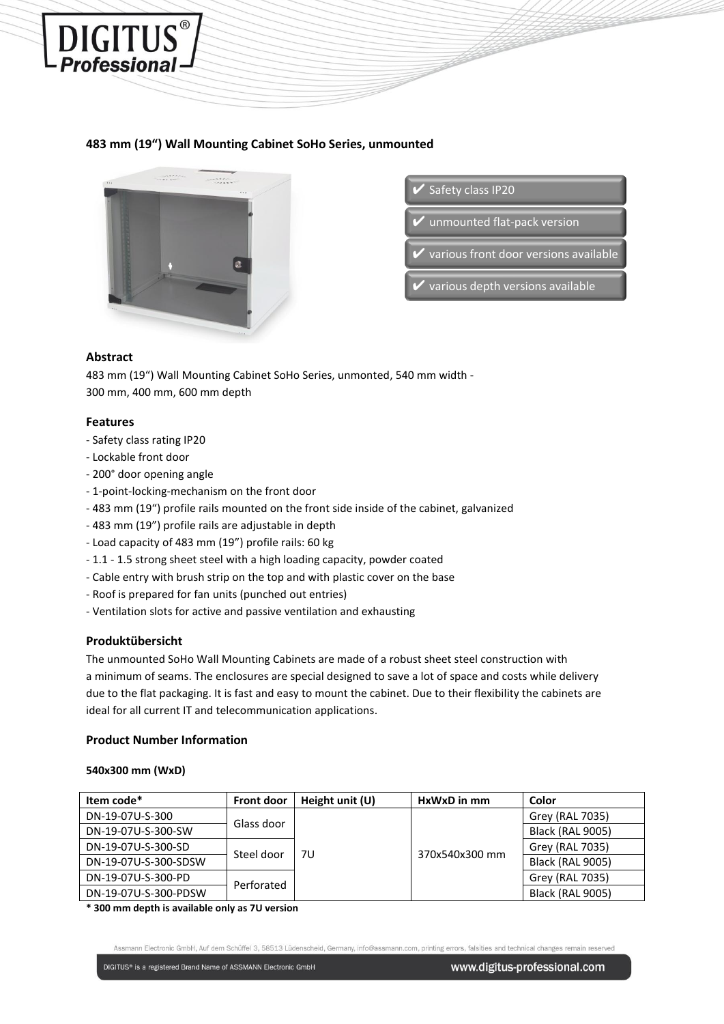

# **483 mm (19") Wall Mounting Cabinet SoHo Series, unmounted**



✔ Safety class IP20

unmounted flat-pack version

various front door versions available

various depth versions available

## **Abstract**

483 mm (19") Wall Mounting Cabinet SoHo Series, unmonted, 540 mm width - 300 mm, 400 mm, 600 mm depth

### **Features**

- Safety class rating IP20
- Lockable front door
- 200° door opening angle
- 1-point-locking-mechanism on the front door
- 483 mm (19") profile rails mounted on the front side inside of the cabinet, galvanized
- 483 mm (19") profile rails are adjustable in depth
- Load capacity of 483 mm (19") profile rails: 60 kg
- 1.1 1.5 strong sheet steel with a high loading capacity, powder coated
- Cable entry with brush strip on the top and with plastic cover on the base
- Roof is prepared for fan units (punched out entries)
- Ventilation slots for active and passive ventilation and exhausting

### **Produktübersicht**

The unmounted SoHo Wall Mounting Cabinets are made of a robust sheet steel construction with a minimum of seams. The enclosures are special designed to save a lot of space and costs while delivery due to the flat packaging. It is fast and easy to mount the cabinet. Due to their flexibility the cabinets are ideal for all current IT and telecommunication applications.

### **Product Number Information**

### **540x300 mm (WxD)**

| Item code*           | <b>Front door</b> | Height unit $(U)$ | HxWxD in mm    | Color                   |
|----------------------|-------------------|-------------------|----------------|-------------------------|
| DN-19-07U-S-300      | Glass door        | 7U                | 370x540x300 mm | Grey (RAL 7035)         |
| DN-19-07U-S-300-SW   |                   |                   |                | <b>Black (RAL 9005)</b> |
| DN-19-07U-S-300-SD   | Steel door        |                   |                | Grey (RAL 7035)         |
| DN-19-07U-S-300-SDSW |                   |                   |                | <b>Black (RAL 9005)</b> |
| DN-19-07U-S-300-PD   | Perforated        |                   |                | Grey (RAL 7035)         |
| DN-19-07U-S-300-PDSW |                   |                   |                | <b>Black (RAL 9005)</b> |

**\* 300 mm depth is available only as 7U version**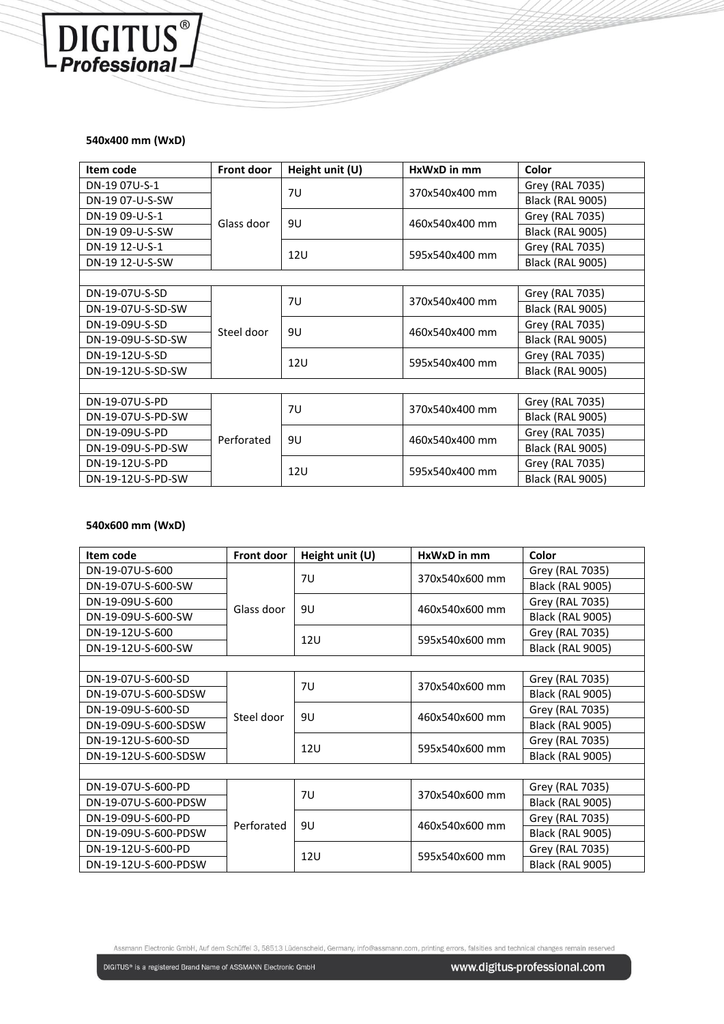## **540x400 mm (WxD)**

DIGITUS<sup>®</sup>

| Item code         | <b>Front door</b> | Height unit (U) | $HxWxD$ in mm  | Color                   |  |  |
|-------------------|-------------------|-----------------|----------------|-------------------------|--|--|
| DN-19 07U-S-1     | Glass door        | 7U              | 370x540x400 mm | Grey (RAL 7035)         |  |  |
| DN-19 07-U-S-SW   |                   |                 |                | <b>Black (RAL 9005)</b> |  |  |
| DN-19 09-U-S-1    |                   | 9U              | 460x540x400 mm | Grey (RAL 7035)         |  |  |
| DN-19 09-U-S-SW   |                   |                 |                | <b>Black (RAL 9005)</b> |  |  |
| DN-19 12-U-S-1    |                   | 12U             | 595x540x400 mm | Grey (RAL 7035)         |  |  |
| DN-19 12-U-S-SW   |                   |                 |                | <b>Black (RAL 9005)</b> |  |  |
|                   |                   |                 |                |                         |  |  |
| DN-19-07U-S-SD    |                   | 7U              | 370x540x400 mm | Grey (RAL 7035)         |  |  |
| DN-19-07U-S-SD-SW | Steel door        |                 |                | Black (RAL 9005)        |  |  |
| DN-19-09U-S-SD    |                   | 9U              | 460x540x400 mm | Grey (RAL 7035)         |  |  |
| DN-19-09U-S-SD-SW |                   |                 |                | Black (RAL 9005)        |  |  |
| DN-19-12U-S-SD    |                   | 12U             | 595x540x400 mm | Grey (RAL 7035)         |  |  |
| DN-19-12U-S-SD-SW |                   |                 |                | Black (RAL 9005)        |  |  |
|                   |                   |                 |                |                         |  |  |
| DN-19-07U-S-PD    |                   | 7U              | 370x540x400 mm | Grey (RAL 7035)         |  |  |
| DN-19-07U-S-PD-SW | Perforated        |                 |                | <b>Black (RAL 9005)</b> |  |  |
| DN-19-09U-S-PD    |                   | 9U              | 460x540x400 mm | Grey (RAL 7035)         |  |  |
| DN-19-09U-S-PD-SW |                   |                 |                | <b>Black (RAL 9005)</b> |  |  |
| DN-19-12U-S-PD    |                   | 12U             | 595x540x400 mm | Grey (RAL 7035)         |  |  |
| DN-19-12U-S-PD-SW |                   |                 |                | <b>Black (RAL 9005)</b> |  |  |

## **540x600 mm (WxD)**

| Item code            | <b>Front door</b> | Height unit (U) | HxWxD in mm    | Color                   |
|----------------------|-------------------|-----------------|----------------|-------------------------|
| DN-19-07U-S-600      | Glass door        | 7U              | 370x540x600 mm | Grey (RAL 7035)         |
| DN-19-07U-S-600-SW   |                   |                 |                | <b>Black (RAL 9005)</b> |
| DN-19-09U-S-600      |                   | 9U              | 460x540x600 mm | Grey (RAL 7035)         |
| DN-19-09U-S-600-SW   |                   |                 |                | <b>Black (RAL 9005)</b> |
| DN-19-12U-S-600      |                   | 12U             | 595x540x600 mm | Grey (RAL 7035)         |
| DN-19-12U-S-600-SW   |                   |                 |                | <b>Black (RAL 9005)</b> |
|                      |                   |                 |                |                         |
| DN-19-07U-S-600-SD   | Steel door        | 7U              | 370x540x600 mm | Grey (RAL 7035)         |
| DN-19-07U-S-600-SDSW |                   |                 |                | <b>Black (RAL 9005)</b> |
| DN-19-09U-S-600-SD   |                   | 9U              | 460x540x600 mm | Grey (RAL 7035)         |
| DN-19-09U-S-600-SDSW |                   |                 |                | Black (RAL 9005)        |
| DN-19-12U-S-600-SD   |                   | 12U             | 595x540x600 mm | Grey (RAL 7035)         |
| DN-19-12U-S-600-SDSW |                   |                 |                | <b>Black (RAL 9005)</b> |
|                      |                   |                 |                |                         |
| DN-19-07U-S-600-PD   | Perforated        | 7U              | 370x540x600 mm | Grey (RAL 7035)         |
| DN-19-07U-S-600-PDSW |                   |                 |                | <b>Black (RAL 9005)</b> |
| DN-19-09U-S-600-PD   |                   | 9U              | 460x540x600 mm | Grey (RAL 7035)         |
| DN-19-09U-S-600-PDSW |                   |                 |                | <b>Black (RAL 9005)</b> |
| DN-19-12U-S-600-PD   |                   | 12U             | 595x540x600 mm | Grey (RAL 7035)         |
| DN-19-12U-S-600-PDSW |                   |                 |                | <b>Black (RAL 9005)</b> |

Assmann Electronic GmbH, Auf dem Schüffel 3, 58513 Lüdenscheid, Germany, info@assmann.com, printing errors, falsities and technical changes remain reserved

DIGITUS® is a registered Brand Name of ASSMANN Electronic GmbH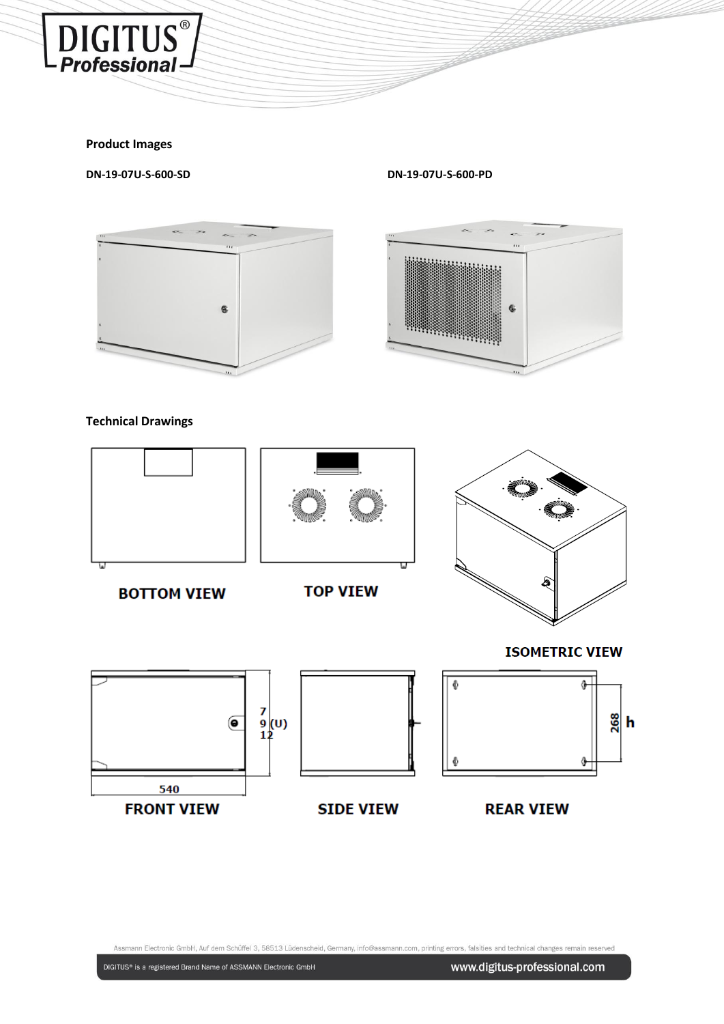

## **Product Images**

**DN-19-07U-S-600-SD DN-19-07U-S-600-PD**



# **Technical Drawings**





Assmann Electronic GmbH, Auf dem Schüffel 3, 58513 Lüdenscheid, Germany, info@assmann.com, printing errors, falsities and technical changes remain reserved